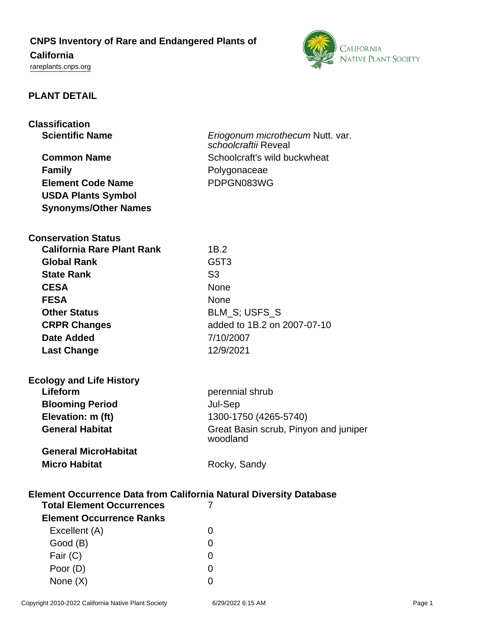## **CNPS Inventory of Rare and Endangered Plants of**

# **California**

<rareplants.cnps.org>



## **PLANT DETAIL**

| <b>Classification</b>                                                                                              |                                                          |
|--------------------------------------------------------------------------------------------------------------------|----------------------------------------------------------|
| <b>Scientific Name</b>                                                                                             | Eriogonum microthecum Nutt. var.<br>schoolcraftii Reveal |
| <b>Common Name</b>                                                                                                 | Schoolcraft's wild buckwheat                             |
| <b>Family</b>                                                                                                      | Polygonaceae                                             |
| <b>Element Code Name</b>                                                                                           | PDPGN083WG                                               |
| <b>USDA Plants Symbol</b>                                                                                          |                                                          |
| <b>Synonyms/Other Names</b>                                                                                        |                                                          |
|                                                                                                                    |                                                          |
| <b>Conservation Status</b>                                                                                         |                                                          |
| <b>California Rare Plant Rank</b>                                                                                  | 1B.2                                                     |
| <b>Global Rank</b>                                                                                                 | G5T3                                                     |
| <b>State Rank</b>                                                                                                  | S <sub>3</sub>                                           |
| <b>CESA</b>                                                                                                        | None                                                     |
| <b>FESA</b>                                                                                                        | <b>None</b>                                              |
| <b>Other Status</b>                                                                                                | BLM_S; USFS_S                                            |
| <b>CRPR Changes</b>                                                                                                | added to 1B.2 on 2007-07-10                              |
| Date Added                                                                                                         | 7/10/2007                                                |
| <b>Last Change</b>                                                                                                 | 12/9/2021                                                |
|                                                                                                                    |                                                          |
| <b>Ecology and Life History</b>                                                                                    |                                                          |
| Lifeform                                                                                                           | perennial shrub                                          |
| <b>Blooming Period</b>                                                                                             | Jul-Sep                                                  |
| Elevation: m (ft)                                                                                                  | 1300-1750 (4265-5740)                                    |
| <b>General Habitat</b>                                                                                             | Great Basin scrub, Pinyon and juniper<br>woodland        |
| <b>General MicroHabitat</b>                                                                                        |                                                          |
| <b>Micro Habitat</b>                                                                                               | Rocky, Sandy                                             |
|                                                                                                                    |                                                          |
| <b>Element Occurrence Data from California Natural Diversity Database</b><br><b>Total Element Occurrences</b><br>7 |                                                          |
| <b>Element Occurrence Ranks</b>                                                                                    |                                                          |
| Excellent (A)                                                                                                      | 0                                                        |
| Good (B)                                                                                                           | 0                                                        |
| Fair (C)                                                                                                           | 0                                                        |

Poor (D) 0 None  $(X)$  0